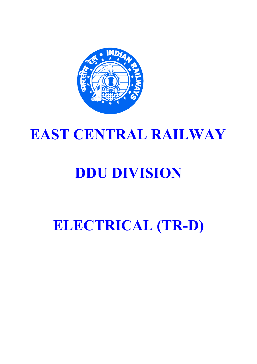

## EAST CENTRAL RAILWAY

# DDU DIVISION

## ELECTRICAL (TR-D)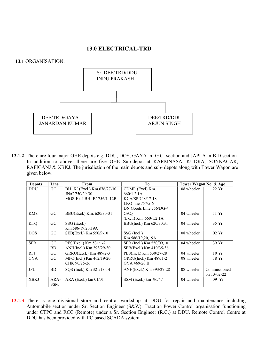### 13.0 ELECTRICAL-TRD

13.1 ORGANISATION:



13.1.2 There are four major OHE depots e.g. DDU, DOS, GAYA in G.C section and JAPLA in B.D section. In addition to above, there are five OHE Sub-depot at KARMNASA, KUDRA, SONNAGAR, RAFIGANJ & XBKJ. The jurisdiction of the main depots and sub- depots along with Tower Wagon are given below.

| <b>Depots</b> | Line            | From                        | To                       | Tower Wagon No. & Age |                  |
|---------------|-----------------|-----------------------------|--------------------------|-----------------------|------------------|
| <b>DDU</b>    | GC.             | BH 'K' (Excl.) Km.676/27-30 | CDMR (Excl) Km.          | 08 wheeler            | 22 Yr.           |
|               |                 | JN/C 750/29-30              | 660/1,2,1A               |                       |                  |
|               |                 | MGS-Excl BH 'B' 756/L-12B   | KCA/SP 748/17-18         |                       |                  |
|               |                 |                             | LKO line $757/5-6$       |                       |                  |
|               |                 |                             | DN Goods Line 756/DG-4   |                       |                  |
| <b>KMS</b>    | $G_{\rm C}$     | BBU(Excl.) Km. 620/30-31    | GAQ                      | 04 wheeler            | $11 Yr$ .        |
|               |                 |                             | (Excl.) Km. 660/1,2,1A   |                       |                  |
| <b>KTQ</b>    | G <sub>C</sub>  | SSG (Excl.)                 | BBU(Incl.) Km 620/30,31  | 04 wheeler            | 35 Yr.           |
|               |                 | Km.586/19,20,19A            |                          |                       |                  |
| <b>DOS</b>    | G <sub>C</sub>  | SEB(Excl.) Km 550/9-10      | SSG (Incl.)              | 08 wheeler            | $02 \text{Yr}$ . |
|               |                 |                             | Km.586/19,20,19A         |                       |                  |
| <b>SEB</b>    | G <sub>C</sub>  | PES(Excl.) Km 531/1-2       | SEB (Incl.) Km 550/09,10 | 04 wheeler            | 39 Yr.           |
|               | <b>BD</b>       | ANH(Incl.) Km 393/29-30     | SEB(Excl.) Km 410/35-36  |                       |                  |
| <b>RFJ</b>    | $\overline{G}C$ | GRRU(Excl.) Km 489/2-3      | PES(Incl.) Km 530/27-28  | 04 wheeler            | $10 Yr$ .        |
| <b>GYA</b>    | GC.             | MPO(Incl.) Km 462/19-20     | GRRU(Incl.) Km 489/1-2   | 08 wheeler            | 18 Yr.           |
|               |                 | CHK 90/25-26                | GYA 469/20 B             |                       |                  |
| <b>JPL</b>    | <b>BD</b>       | SQS (Incl.) Km 321/13-14    | ANH(Excl.) Km 393/27-28  | 08 wheeler            | Commissioned     |
|               |                 |                             |                          |                       | on 13-02-22      |
| <b>XBKJ</b>   | ARA-            | $ARA$ (Excl.) km $01/01$    | SSM (Excl.) km 96/47     | 04 wheeler            | 09 Yr            |
|               | <b>SSM</b>      |                             |                          |                       |                  |

13.1.3 There is one divisional store and central workshop at DDU for repair and maintenance including Automobile section under Sr. Section Engineer (S&W). Traction Power Control organisation functioning under CTPC and RCC (Remote) under a Sr. Section Engineer (R.C.) at DDU. Remote Control Centre at DDU has been provided with PC based SCADA system.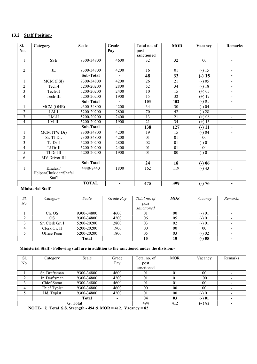### 13.2 Staff Position-

| SI.<br>No.              | Category                          | <b>Scale</b>     | Grade<br>Pay             | Total no. of<br>post | <b>MOR</b>      | Vacancy        | <b>Remarks</b>               |
|-------------------------|-----------------------------------|------------------|--------------------------|----------------------|-----------------|----------------|------------------------------|
|                         |                                   |                  |                          | sanctioned           |                 |                |                              |
| 1                       | <b>SSE</b>                        | 9300-34800       | 4600                     | 32                   | 32              | 0 <sub>0</sub> |                              |
| $\overline{2}$          | $\rm{JE}$                         | 9300-34800       | 4200                     | 16                   | 01              | $(-) 15$       | $\overline{\phantom{0}}$     |
|                         |                                   | Sub-Total        | ۰                        | 48                   | 33              | $(-) 15$       |                              |
| 1                       | MCM (PSI)                         | 9300-34800       | 4200                     | $\overline{26}$      | $\overline{21}$ | $(-) 05$       | Ξ.                           |
| $\overline{2}$          | Tech-I                            | 5200-20200       | 2800                     | $\overline{52}$      | $\overline{34}$ | $(-) 18$       | ٠                            |
| 3                       | Tech-II                           | 5200-20200       | 2400                     | $\overline{10}$      | $\overline{15}$ | $(+) 05$       | $\blacksquare$               |
| 4                       | Tech-III                          | 5200-20200       | 1900                     | 15                   | $\overline{32}$ | $(+) 17$       | Ξ.                           |
|                         |                                   | Sub-Total        | $\blacksquare$           | 103                  | 102             | $(-) 01$       | Ξ.                           |
| 1                       | MCM (OHE)                         | 9300-34800       | 4200                     | 34                   | 30              | $(-) 04$       | $\overline{\phantom{0}}$     |
| $\overline{c}$          | $LM-I$                            | 5200-20200       | 2800                     | 70                   | 42              | $(-) 28$       | $\qquad \qquad \blacksquare$ |
| $\overline{\mathbf{3}}$ | $LM-II$                           | 5200-20200       | 2400                     | 13                   | $\overline{21}$ | $(+) 08$       | $\overline{\phantom{0}}$     |
| 4                       | LM-III                            | 5200-20200       | 1900                     | $\overline{21}$      | $\overline{34}$ | $(+) 13$       |                              |
|                         |                                   | <b>Sub-Total</b> | $\overline{\phantom{0}}$ | 138                  | 127             | $(-) 11$       | -                            |
| 1                       | MCM (TW Dr)                       | 9300-34800       | 4200                     | 19                   | 15              | $(-) 04$       | $\blacksquare$               |
| $\overline{c}$          | Sr. TJ Dr.                        | 9300-34800       | 4200                     | 01                   | 01              | 0 <sub>0</sub> |                              |
| 3                       | TJ Dr-I                           | 5200-20200       | 2800                     | 02                   | 01              | $(-) 01$       | ÷,                           |
| 4                       | TJ Dr-II                          | 5200-20200       | 2400                     | 01                   | 01              | 00             | Ξ.                           |
| 5                       | TJ Dr-III                         | 5200-20200       | 1900                     | 01                   | 00              | $(-) 01$       | ٠                            |
| 6                       | MV Driver-III                     |                  | $\blacksquare$           | $\blacksquare$       | $\sim$          | ÷.             | $\overline{\phantom{0}}$     |
|                         |                                   | Sub-Total        | -                        | 24                   | 18              | $(-) 06$       | -                            |
| $\mathbf{1}$            | Khalasi/                          | 4440-7440        | 1800                     | 162                  | 119             | $(-)43$        |                              |
|                         | Helper/Chukidar/Shafai<br>Staff   |                  |                          |                      |                 |                |                              |
|                         | <b>The Second Company Company</b> | <b>TOTAL</b>     | $\overline{\phantom{0}}$ | 475                  | 399             | $(-) 76$       | -                            |

#### Ministerial Staff:-

| Sl.            | Category        | Scale        | Grade Pay | Total no. of | <i>MOR</i> | Vacancy | Remarks |
|----------------|-----------------|--------------|-----------|--------------|------------|---------|---------|
| N <sub>o</sub> |                 |              |           | post         |            |         |         |
|                |                 |              |           | sanctioned   |            |         |         |
|                | Ch. OS          | 9300-34800   | 4600      | 01           | 00         | (-) 01  |         |
|                | <b>OS</b>       | 9300-34800   | 4200      | 06           | 05         | (-) 01  |         |
|                | Sr. Clerk Gr. I | 5200-20200   | 2800      | 03           | 02         | (-) 01  |         |
|                | Clerk Gr. II    | 5200-20200   | 1900      | 00           | 00         | 00      |         |
|                | Office Peon     | 5200-20200   | 1800      | 05           | 03         | $(-)02$ |         |
|                |                 | <b>Total</b> |           | 15           | 10         | $(-)05$ |         |

#### Ministerial Staff:- Following staff are in addition to the sanctioned under the division:-

| Sl. | Category      | Scale      | Grade  | Total no. of | <b>MOR</b>     | Vacancy    | Remarks |
|-----|---------------|------------|--------|--------------|----------------|------------|---------|
| No. |               |            | Pay    | post         |                |            |         |
|     |               |            |        | sanctioned   |                |            |         |
|     | Sr. Draftsman | 9300-34800 | 4600   | 01           | 01             | 00         |         |
|     | Jr. Draftsman | 9300-34800 | 4200   | 01           | 01             | 00         |         |
|     | Chief Steno   | 9300-34800 | 4600   | 01           | 01             | 00         |         |
| 4   | Chief Typist  | 9300-34800 | 4600   | 00           | 00             | 00         |         |
|     | Hd. Typist    | 9300-34800 | 4200   | 01           | 0 <sub>0</sub> | $( - ) 01$ |         |
|     |               | Total      | $\sim$ | 04           | 03             | $(-) 01$   |         |
|     |               | G. Total   |        | 494          | 412            | $(-)82$    |         |

NOTE- i) Total S.S. Strength - 494 & MOR = 412, Vacancy = 82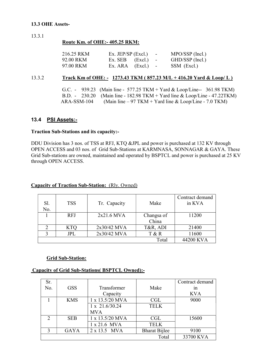#### 13.3 OHE Assets-

13.3.1

#### Route Km. of OHE:- 405.25 RKM:

| 216.25 RKM | Ex. JEP/SP $(Excl.)$ - | $MPO/SSP$ (Incl.) |
|------------|------------------------|-------------------|
| 92.00 RKM  | $Ex. SEB$ $(EXcl.)$ -  | GHD/SSP (Incl.)   |
| 97.00 RKM  | $Ex. ARA$ $(EXcl.)$ -  | SSM (Excl.)       |

#### 13.3.2 Track Km of OHE: - 1273.43 TKM (857.23 M/L + 416.20 Yard & Loop/ L)

 G.C. - 939.23 (Main line - 577.25 TKM + Yard & Loop/Line-- 361.98 TKM) B.D. - 230.20 (Main line - 182.98 TKM + Yard line & Loop/Line - 47.22TKM)  $ARA-SSM-104$  (Main line – 97 TKM + Yard line & Loop/Line - 7.0 TKM)

#### 13.4 PSI Assets:-

#### Traction Sub-Stations and its capacity:-

DDU Division has 3 nos. of TSS at RFJ, KTQ &JPL and power is purchased at 132 KV through OPEN ACCESS and 03 nos. of Grid Sub-Stations at KARMNASA, SONNAGAR & GAYA. These Grid Sub-stations are owned, maintained and operated by BSPTCL and power is purchased at 25 KV through OPEN ACCESS.

| Sl.<br>No. | <b>TSS</b> | Tr. Capacity | Make       | Contract demand<br>in KVA |
|------------|------------|--------------|------------|---------------------------|
|            | <b>RFJ</b> | 2x21.6 MVA   | Changsa of | 11200                     |
|            |            |              | China      |                           |
|            | <b>KTO</b> | 2x30/42 MVA  | T&R, ADI   | 21400                     |
|            | JPL        | 2x30/42 MVA  | T & R      | 11600                     |
|            |            |              | Total      | 44200 KVA                 |

#### Capacity of Traction Sub-Station: (Rly. Owned)

#### Grid Sub-Station:

#### Capacity of Grid Sub-Stations( BSPTCL Owned):-

| Sr.           |             |                 |                      | Contract demand |
|---------------|-------------|-----------------|----------------------|-----------------|
| No.           | <b>GSS</b>  | Transformer     | Make                 | 1n              |
|               |             | Capacity        |                      | <b>KVA</b>      |
|               | <b>KMS</b>  | 1 x 13.5/20 MVA | CGL                  | 9000            |
|               |             | 1 x 21.6/30.24  | <b>TELK</b>          |                 |
|               |             | <b>MVA</b>      |                      |                 |
| $\mathcal{D}$ | <b>SEB</b>  | 1 x 13.5/20 MVA | CGL                  | 15600           |
|               |             | 1 x 21.6 MVA    | <b>TELK</b>          |                 |
| 3             | <b>GAYA</b> | 2 x 13.5 MVA    | <b>Bharat Bijlee</b> | 9100            |
|               |             |                 | Total                | 33700 KVA       |